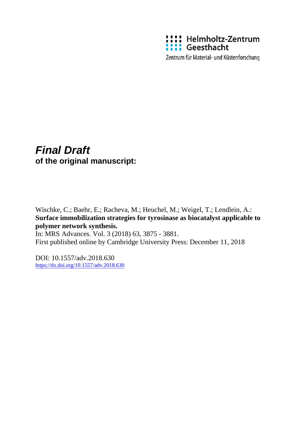

Zentrum für Material- und Küstenforschung

# *Final Draft*  **of the original manuscript:**

Wischke, C.; Baehr, E.; Racheva, M.; Heuchel, M.; Weigel, T.; Lendlein, A.: **Surface immobilization strategies for tyrosinase as biocatalyst applicable to polymer network synthesis.**

In: MRS Advances. Vol. 3 (2018) 63, 3875 - 3881. First published online by Cambridge University Press: December 11, 2018

DOI: 10.1557/adv.2018.630 <https://dx.doi.org/10.1557/adv.2018.630>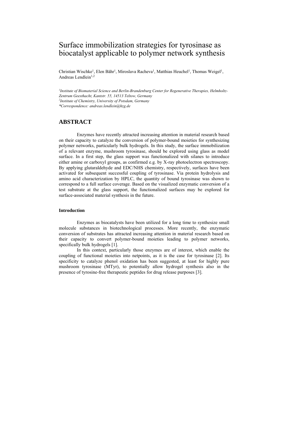# Surface immobilization strategies for tyrosinase as biocatalyst applicable to polymer network synthesis

Christian Wischke<sup>1</sup>, Elen Bähr<sup>1</sup>, Miroslava Racheva<sup>1</sup>, Matthias Heuchel<sup>1</sup>, Thomas Weigel<sup>1</sup>, Andreas Lendlein $1,2$ 

*1 Institute of Biomaterial Science and Berlin-Brandenburg Center for Regenerative Therapies, Helmholtz-Zentrum Geesthacht, Kantstr. 55, 14513 Teltow, Germany 2 Institute of Chemistry, University of Potsdam, Germany \*Correspondence: andreas.lendlein@hzg.de* 

## **ABSTRACT**

Enzymes have recently attracted increasing attention in material research based on their capacity to catalyze the conversion of polymer-bound moieties for synthesizing polymer networks, particularly bulk hydrogels. In this study, the surface immobilization of a relevant enzyme, mushroom tyrosinase, should be explored using glass as model surface. In a first step, the glass support was functionalized with silanes to introduce either amine or carboxyl groups, as confirmed e.g. by X-ray photoelectron spectroscopy. By applying glutaraldehyde and EDC/NHS chemistry, respectively, surfaces have been activated for subsequent successful coupling of tyrosinase. Via protein hydrolysis and amino acid characterization by HPLC, the quantity of bound tyrosinase was shown to correspond to a full surface coverage. Based on the visualized enzymatic conversion of a test substrate at the glass support, the functionalized surfaces may be explored for surface-associated material synthesis in the future.

### **Introduction**

Enzymes as biocatalysts have been utilized for a long time to synthesize small molecule substances in biotechnological processes. More recently, the enzymatic conversion of substrates has attracted increasing attention in material research based on their capacity to convert polymer-bound moieties leading to polymer networks, specifically bulk hydrogels [1].

In this context, particularly those enzymes are of interest, which enable the coupling of functional moieties into netpoints, as it is the case for tyrosinase [2]. Its specificity to catalyze phenol oxidation has been suggested, at least for highly pure mushroom tyrosinase (MTyr), to potentially allow hydrogel synthesis also in the presence of tyrosine-free therapeutic peptides for drug release purposes [3].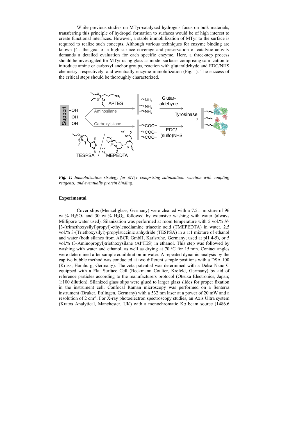While previous studies on MTyr-catalyzed hydrogels focus on bulk materials, transferring this principle of hydrogel formation to surfaces would be of high interest to create functional interfaces. However, a stable immobilization of MTyr to the surface is required to realize such concepts. Although various techniques for enzyme binding are known [4], the goal of a high surface coverage and preservation of catalytic activity demands a detailed evaluation for each specific enzyme. Here, a three-step process should be investigated for MTyr using glass as model surfaces comprising salinization to introduce amine or carboxyl anchor groups, reaction with glutaraldehyde and EDC/NHS chemistry, respectively, and eventually enzyme immobilization (Fig. 1). The success of the critical steps should be thoroughly characterized.



*Fig. 1: Immobilization strategy for MTyr comprising salinization, reaction with coupling reagents, and eventually protein binding.* 

#### **Experimental**

Cover slips (Menzel glass, Germany) were cleaned with a 7.5:1 mixture of 96 wt.%  $H_2SO_4$  and 30 wt.%  $H_2O_2$  followed by extensive washing with water (always Millipore water used). Silanization was performed at room temperature with 5 vol.% *N*- [3-(trimethoxysilyl)propyl]-ethylenediamine triacetic acid (TMEPEDTA) in water, 2.5 vol.% 3-(Triethoxysilyl)-propylsuccinic anhydride (TESPSA) in a 1:1 mixture of ethanol and water (both silanes from ABCR GmbH, Karlsruhe, Germany; used at pH 4-5), or 5 vol.% (3-Aminopropyl)triethoxysilane (APTES) in ethanol. This step was followed by washing with water and ethanol, as well as drying at 70 °C for 15 min. Contact angles were determined after sample equilibration in water. A repeated dynamic analysis by the captive bubble method was conducted at two different sample positions with a DSA 100 (Krüss, Hamburg, Germany). The zeta potential was determined with a Delsa Nano C equipped with a Flat Surface Cell (Beckmann Coulter, Krefeld, Germany) by aid of reference particles according to the manufacturers protocol (Otsuka Electronics, Japan; 1:100 dilution). Silanized glass slips were glued to larger glass slides for proper fixation in the instrument cell. Confocal Raman microscopy was performed on a Senterra instrument (Bruker, Ettlingen, Germany) with a 532 nm laser at a power of 20 mW and a resolution of 2 cm-1. For X-ray photoelectron spectroscopy studies, an Axis Ultra system (Kratos Analytical, Manchester, UK) with a monochromatic Kα beam source (1486.6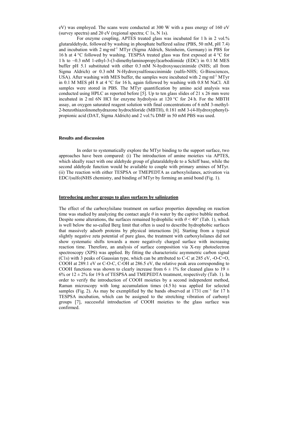eV) was employed. The scans were conducted at 300 W with a pass energy of 160 eV (survey spectra) and 20 eV (regional spectra; C 1s, N 1s).

For enzyme coupling, APTES treated glass was incubated for 1 h in 2 vol.% glutaraldehyde, followed by washing in phosphate buffered saline (PBS, 50 mM, pH 7.4) and incubation with 2 mg∙ml-1 MTyr (Sigma Aldrich, Steinheim, Germany) in PBS for 16 h at 4 °C followed by washing. TESPSA treated glass was first exposed at 4 °C for 1 h to ~0.3 mM 1-ethyl-3-(3-dimethylaminopropyl)carbodiimide (EDC) in 0.1 M MES buffer pH 5.1 substituted with either 0.3 mM N-hydroxysuccinimide (NHS; all from Sigma Aldrich) or 0.3 mM N‐Hydroxysulfosuccinimide (sulfo-NHS; G-Biosciences, USA). After washing with MES buffer, the samples were incubated with 2 mg∙ml-1 MTyr in 0.1 M MES pH 8 at 4 °C for 16 h, again followed by washing with 0.8 M NaCl. All samples were stored in PBS. The MTyr quantification by amino acid analysis was conducted using HPLC as reported before [5]. Up to ten glass slides of 21 x 26 mm were incubated in 2 ml 6N HCl for enzyme hydrolysis at 120 °C for 24 h. For the MBTH assay, an oxygen saturated reagent solution with final concentrations of 6 mM 3-methyl-2-benzothiazolinonehydrazone hydrochloride (MBTH), 0.181 mM 3-(4-Hydroxyphenyl) propionic acid (DAT, Sigma Aldrich) and 2 vol.% DMF in 50 mM PBS was used.

#### **Results and discussion**

In order to systematically explore the MTyr binding to the support surface, two approaches have been compared: (i) The introduction of amine moieties via APTES, which ideally react with one aldehyde group of glutaraldehyde to a Schiff base, while the second aldehyde function would be available to couple with primary amines of MTyr. (ii) The reaction with either TESPSA or TMEPEDTA as carboxylsilanes, activation via EDC/(sulfo)NHS chemistry, and binding of MTyr by forming an amid bond (Fig. 1).

#### **Introducing anchor groups to glass surfaces by salinization**

The effect of the carboxylsilane treatment on surface properties depending on reaction time was studied by analyzing the contact angle  $\theta$  in water by the captive bubble method. Despite some alterations, the surfaces remained hydrophilic with  $\theta$  < 40° (Tab. 1), which is well below the so-called Berg limit that often is used to describe hydrophobic surfaces that massively adsorb proteins by physical interactions [6]. Starting from a typical slightly negative zeta potential of pure glass, the treatment with carboxylsilanes did not show systematic shifts towards a more negatively charged surface with increasing reaction time. Therefore, an analysis of surface composition via X-ray photoelectron spectroscopy (XPS) was applied. By fitting the characteristic asymmetric carbon signal (C1s) with 3 peaks of Gaussian type, which can be attributed to C-C at 285 eV, -O-C=O, COOH at 289.1 eV or C-O-C, C-OH at 286.5 eV, the relative peak area corresponding to COOH functions was shown to clearly increase from  $6 \pm 1\%$  for cleaned glass to 19  $\pm$ 6% or  $12 \pm 2\%$  for 19 h of TESPSA and TMEPEDTA treatment, respectively (Tab. 1). In order to verify the introduction of COOH moieties by a second independent method, Raman microscopy with long accumulation times (4.5 h) was applied for selected samples (Fig. 2). As may be exemplified by the bands observed at 1731 cm<sup>-1</sup> for 17 h TESPSA incubation, which can be assigned to the stretching vibration of carbonyl groups [7], successful introduction of COOH moieties to the glass surface was confirmed.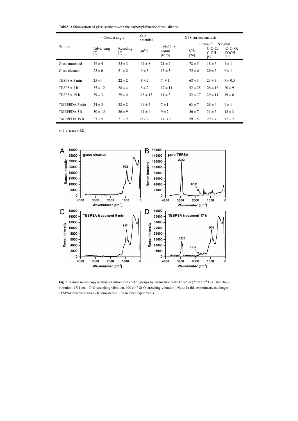**Table 1:** Silanization of glass surfaces with the carboxyl-functionalized silanes.

|                 | Contact angle   |                 | Zeta<br>potential  | XPS surface analysis                                      |                            |                                                     |                                                |
|-----------------|-----------------|-----------------|--------------------|-----------------------------------------------------------|----------------------------|-----------------------------------------------------|------------------------------------------------|
| Sample          | Advancing<br>ſ۹ | Receding<br>[°] | $\lceil mV \rceil$ | Total C1s<br>signal<br>$\lceil \det \mathcal{V}_0 \rceil$ | $C-C$<br>$\lceil\% \rceil$ | Fitting of C1S signal<br>$C-O-C$ :<br>$C-OH$<br>[%] | $-O-C=O$ :<br><b>COOH</b><br>$\lceil\% \rceil$ |
| Glass untreated | $26 \pm 4$      | $25 \pm 3$      | $-11 \pm 8$        | $21 \pm 2$                                                | $78 \pm 5$                 | $18 \pm 5$                                          | $4 \pm 1$                                      |
| Glass cleaned   | $25 \pm 6$      | $21 \pm 2$      | $-5 \pm 3$         | $13 \pm 3$                                                | $75 \pm 6$                 | $20 \pm 5$                                          | $6 \pm 1$                                      |
| TESPSA 5 min    | $25 \pm 1$      | $22 \pm 2$      | $-8 \pm 2$         | $7 \pm 1$                                                 | $68 \pm 3$                 | $23 \pm 3$                                          | $8 \pm 0.5$                                    |
| TESPSA 3 h      | $35 \pm 12$     | $28 \pm \pm$    | $-5 \pm 2$         | $17 \pm 11$                                               | $52 \pm 25$                | $28 \pm 16$                                         | $20 \pm 9$                                     |
| TESPSA 19h      | $39 \pm 3$      | $29 \pm 4$      | $-18 \pm 13$       | $11 \pm 3$                                                | $52 \pm 17$                | $29 \pm 11$                                         | $19 \pm 6$                                     |
| TMEPEDA 5 min   | $24 \pm 3$      | $22 \pm 2$      | $-16 \pm 5$        | $7 \pm 1$                                                 | $63 \pm 7$                 | $28 \pm 6$                                          | $9 \pm 1$                                      |
| TMEPEDA 3 h     | $30 \pm 15$     | $26 \pm 9$      | $-11 \pm 4$        | $9 \pm 2$                                                 | $56 \pm 7$                 | $31 \pm 5$                                          | $13 \pm 3$                                     |
| TMEPEDA 19 h    | $23 \pm 5$      | $21 \pm 2$      | $-9 \pm 7$         | $14 \pm 6$                                                | $59 \pm 5$                 | $29 \pm 4$                                          | $12 \pm 2$                                     |

 $n= 3-6$ , mean  $\pm$  S.D.



Fig. 2: Raman microscopy analysis of introduced anchor groups by salinization with TESPSA (2930 cm<sup>-1</sup> C–H stretching vibration; 1731 cm<sup>-1</sup> C=O stretching vibration, 920 cm<sup>-1</sup> Si-O stretching vibration). Note: In this experiment, the longest TESPSA treatment was 17 h compared to 19 h in other experiments.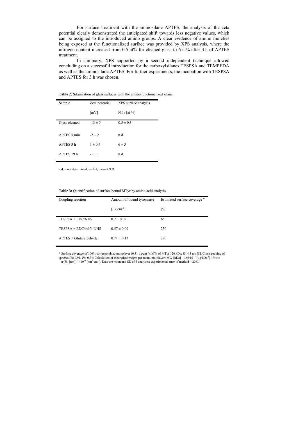For surface treatment with the aminosilane APTES, the analysis of the zeta potential clearly demonstrated the anticipated shift towards less negative values, which can be assigned to the introduced amino groups. A clear evidence of amino moieties being exposed at the functionalized surface was provided by XPS analysis, where the nitrogen content increased from 0.5 at% for cleaned glass to 6 at% after 3 h of APTES treatment.

In summary, XPS supported by a second independent technique allowed concluding on a successful introduction for the carboxylsilanes TESPSA and TEMPEDA as well as the aminosilane APTES. For further experiments, the incubation with TESPSA and APTES for 3 h was chosen.

| Sample        | Zeta potential     | XPS surface analysis |
|---------------|--------------------|----------------------|
|               | $\lceil mV \rceil$ | N 1s [at $%$ ]       |
| Glass cleaned | $-13 \pm 5$        | $0.5 \pm 0.3$        |
| APTES 5 min   | $-2 \pm 2$         | n.d.                 |
| APTES 3 h     | $1 \pm 0.4$        | $6 \pm 3$            |
| APTES 19 h    | $-1 \pm 1$         | n.d.                 |
|               |                    |                      |

**Table 2:** Silanization of glass surfaces with the amino-functionalized silane.

 $n.d. = not determined; n= 3-5, mean ± S.D.$ 

**Table 3:** Quantification of surface bound MTyr by amino acid analysis.

| Coupling reaction        | Amount of bound tyrosinase   | Estimated surface coverage * |  |  |
|--------------------------|------------------------------|------------------------------|--|--|
|                          | [ $\mu$ g·cm <sup>-2</sup> ] | $\lceil\% \rceil$            |  |  |
| $TESPSA + EDC/NHS$       | $0.2 \pm 0.02$               | 65                           |  |  |
| $TESPSA + EDC/sulfo-NHS$ | $0.57 \pm 0.09$              | 230                          |  |  |
| $APTES + Glutaraldehyde$ | $0.71 \pm 0.13$              | 280                          |  |  |

\* Surface coverage of 100% corresponds to monolayer (0.31 µg·cm<sup>-2</sup>); MW of MTyr 120 kDa;  $R_H$  4.3 nm [8]; Close-packing of spheres  $P_{2D}$  0.91,  $P_{3D}$  0.74; Calculation of theoretical weight per mono/multilayer: MW [kD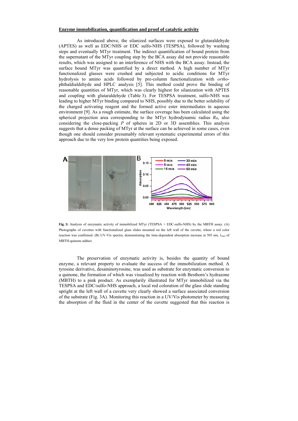#### **Enzyme immobilization, quantification and proof of catalytic activity**

As introduced above, the silanized surfaces were exposed to glutaraldehyde (APTES) as well as EDC/NHS or EDC sulfo-NHS (TESPSA), followed by washing steps and eventually MTyr treatment. The indirect quantification of bound protein from the supernatant of the MTyr coupling step by the BCA assay did not provide reasonable results, which was assigned to an interference of NHS with the BCA assay. Instead, the surface bound MTyr was quantified by a direct method. A high number of MTyr functionalized glasses were crushed and subjected to acidic conditions for MTyr hydrolysis to amino acids followed by pre-column functionalization with *ortho*phthaldialdehyde and HPLC analysis [5]. This method could prove the binding of reasonable quantities of MTyr, which was clearly highest for silanization with APTES and coupling with glutaraldehyde (Table 3). For TESPSA treatment, sulfo-NHS was leading to higher MTyr binding compared to NHS, possibly due to the better solubility of the charged activating reagent and the formed active ester intermediates in aqueous environment [9]. As a rough estimate, the surface coverage has been calculated using the spherical projection area corresponding to the MTyr hydrodynamic radius *R*H, also considering the close-packing *P* of spheres in 2D or 3D assemblies. This analysis suggests that a dense packing of MTyr at the surface can be achieved in some cases, even though one should consider presumably relevant systematic experimental errors of this approach due to the very low protein quantities being exposed.



**Fig. 3:** Analysis of enzymatic activity of immobilized MTyr (TESPSA + EDC-sulfo-NHS) by the MBTH assay. (A) Photographs of cuvettes with functionalized glass slides mounted on the left wall of the cuvette, where a red color reaction was confirmed. (B) UV-Vis spectra, demonstrating the time-dependent absorption increase at 505 nm, λmax of MBTH-quinone adduct.

The preservation of enzymatic activity is, besides the quantity of bound enzyme, a relevant property to evaluate the success of the immobilization method. A tyrosine derivative, desaminotyrosine, was used as substrate for enzymatic conversion to a quinone, the formation of which was visualized by reaction with Besthorn's hydrazone (MBTH) to a pink product. As exemplarily illustrated for MTyr immobilized via the TESPSA and EDC/sulfo-NHS approach, a local red coloration of the glass slide standing upright at the left wall of a cuvette very clearly showed a surface associated conversion of the substrate (Fig. 3A). Monitoring this reaction in a UV/Vis photometer by measuring the absorption of the fluid in the center of the cuvette suggested that this reaction is